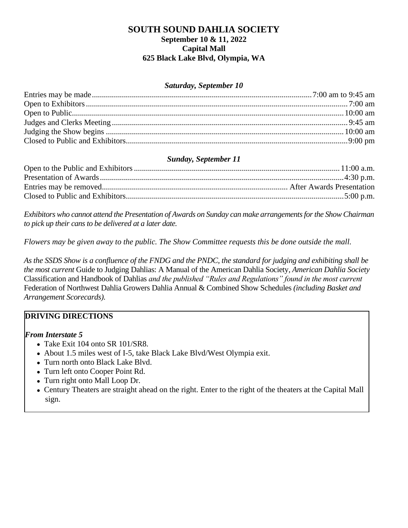# **SOUTH SOUND DAHLIA SOCIETY September 10 & 11, 2022 Capital Mall 625 Black Lake Blvd, Olympia, WA**

## *Saturday, September 10*

# *Sunday, September 11*

*Exhibitors who cannot attend the Presentation of Awards on Sunday can make arrangements for the Show Chairman to pick up their cans to be delivered at a later date.*

*Flowers may be given away to the public. The Show Committee requests this be done outside the mall.*

*As the SSDS Show is a confluence of the FNDG and the PNDC, the standard for judging and exhibiting shall be the most current* Guide to Judging Dahlias: A Manual of the American Dahlia Society*, American Dahlia Society*  Classification and Handbook of Dahlias *and the published "Rules and Regulations" found in the most current*  Federation of Northwest Dahlia Growers Dahlia Annual & Combined Show Schedules *(including Basket and Arrangement Scorecards).*

# **DRIVING DIRECTIONS**

# *1) From Interstate 5*

- Take Exit 104 onto SR 101/SR8.
- About 1.5 miles west of I-5, take Black Lake Blvd/West Olympia exit.
- Turn north onto Black Lake Blvd.
- Turn left onto Cooper Point Rd.
- Turn right onto Mall Loop Dr.
- Century Theaters are straight ahead on the right. Enter to the right of the theaters at the Capital Mall sign.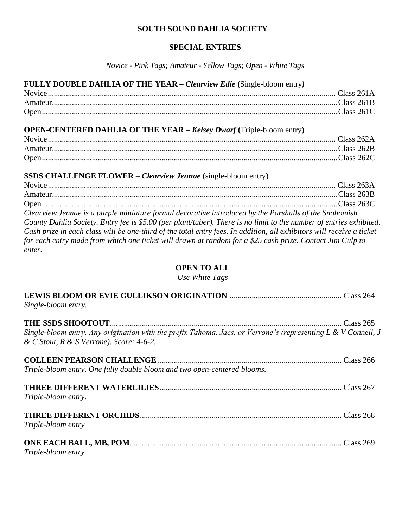## **SOUTH SOUND DAHLIA SOCIETY**

## **SPECIAL ENTRIES**

*Novice - Pink Tags; Amateur - Yellow Tags; Open - White Tags*

### **FULLY DOUBLE DAHLIA OF THE YEAR –** *Clearview Edie* **(**Single-bloom entry*)*

| Amateur. |  |
|----------|--|
|          |  |

# **OPEN-CENTERED DAHLIA OF THE YEAR –** *Kelsey Dwarf* **(**Triple-bloom entry**)**

## **SSDS CHALLENGE FLOWER** – *Clearview Jennae* (single-bloom entry)

Novice ................................................................................................................................................ Class 263A Amateur...............................................................................................................................................Class 263B Open....................................................................................................................................................Class 263C *Clearview Jennae is a purple miniature formal decorative introduced by the Parshalls of the Snohomish County Dahlia Society. Entry fee is \$5.00 (per plant/tuber). There is no limit to the number of entries exhibited. Cash prize in each class will be one-third of the total entry fees. In addition, all exhibitors will receive a ticket for each entry made from which one ticket will drawn at random for a \$25 cash prize. Contact Jim Culp to enter.*

### **OPEN TO ALL**

*Use White Tags*

| Single-bloom entry.                                                                                                                                       |  |
|-----------------------------------------------------------------------------------------------------------------------------------------------------------|--|
| Single-bloom entry. Any origination with the prefix Tahoma, Jacs, or Verrone's (representing L & V Connell, J<br>& C Stout, R & S Verrone). Score: 4-6-2. |  |
| Triple-bloom entry. One fully double bloom and two open-centered blooms.                                                                                  |  |
| Triple-bloom entry.                                                                                                                                       |  |
| Triple-bloom entry                                                                                                                                        |  |
| Triple-bloom entry                                                                                                                                        |  |